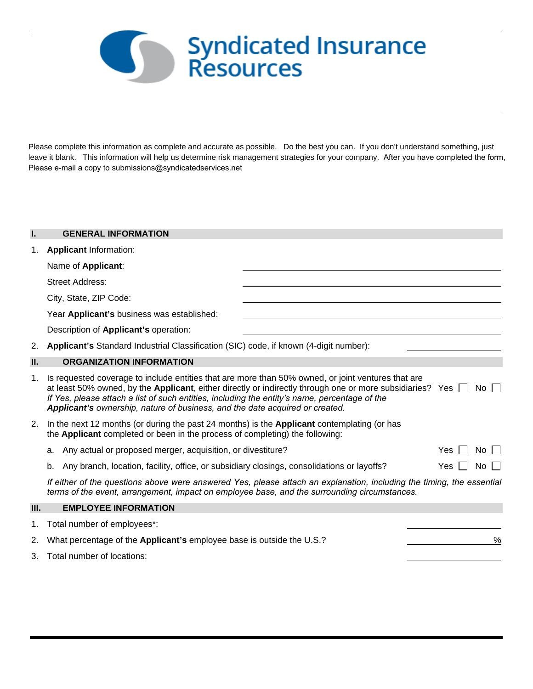

 $\overline{1}$ 

Please complete this information as complete and accurate as possible. Do the best you can. If you don't understand something, just leave it blank. This information will help us determine risk management strategies for your company. After you have completed the form, Please e-mail a copy to submissions@syndicatedservices.net

| I.   | <b>GENERAL INFORMATION</b>                                                                                                                                                                                                                                                                                                                                                                                      |
|------|-----------------------------------------------------------------------------------------------------------------------------------------------------------------------------------------------------------------------------------------------------------------------------------------------------------------------------------------------------------------------------------------------------------------|
| 1.   | <b>Applicant Information:</b>                                                                                                                                                                                                                                                                                                                                                                                   |
|      | Name of Applicant:                                                                                                                                                                                                                                                                                                                                                                                              |
|      | <b>Street Address:</b>                                                                                                                                                                                                                                                                                                                                                                                          |
|      | City, State, ZIP Code:                                                                                                                                                                                                                                                                                                                                                                                          |
|      | Year Applicant's business was established:                                                                                                                                                                                                                                                                                                                                                                      |
|      | Description of Applicant's operation:                                                                                                                                                                                                                                                                                                                                                                           |
| 2.   | Applicant's Standard Industrial Classification (SIC) code, if known (4-digit number):                                                                                                                                                                                                                                                                                                                           |
| II.  | <b>ORGANIZATION INFORMATION</b>                                                                                                                                                                                                                                                                                                                                                                                 |
| 1.   | Is requested coverage to include entities that are more than 50% owned, or joint ventures that are<br>at least 50% owned, by the Applicant, either directly or indirectly through one or more subsidiaries? Yes<br>$No$ $\Box$<br>If Yes, please attach a list of such entities, including the entity's name, percentage of the<br>Applicant's ownership, nature of business, and the date acquired or created. |
| 2.   | In the next 12 months (or during the past 24 months) is the <b>Applicant</b> contemplating (or has<br>the <b>Applicant</b> completed or been in the process of completing) the following:                                                                                                                                                                                                                       |
|      | Any actual or proposed merger, acquisition, or divestiture?<br>$No$ $\vert$ $\vert$<br>Yes<br>а.                                                                                                                                                                                                                                                                                                                |
|      | Any branch, location, facility, office, or subsidiary closings, consolidations or layoffs?<br>Yes.<br>No.<br>b.                                                                                                                                                                                                                                                                                                 |
|      | If either of the questions above were answered Yes, please attach an explanation, including the timing, the essential<br>terms of the event, arrangement, impact on employee base, and the surrounding circumstances.                                                                                                                                                                                           |
| III. | <b>EMPLOYEE INFORMATION</b>                                                                                                                                                                                                                                                                                                                                                                                     |
| 1.   | Total number of employees*:                                                                                                                                                                                                                                                                                                                                                                                     |
| 2.   | What percentage of the Applicant's employee base is outside the U.S.?<br>%                                                                                                                                                                                                                                                                                                                                      |
| 3.   | Total number of locations:                                                                                                                                                                                                                                                                                                                                                                                      |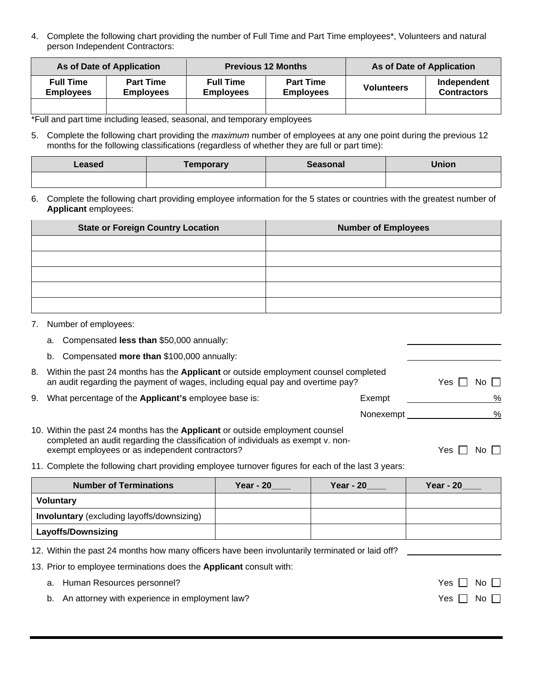4. Complete the following chart providing the number of Full Time and Part Time employees\*, Volunteers and natural person Independent Contractors:

|                                      | As of Date of Application            |                                      | <b>Previous 12 Months</b>            | As of Date of Application |                                   |  |
|--------------------------------------|--------------------------------------|--------------------------------------|--------------------------------------|---------------------------|-----------------------------------|--|
| <b>Full Time</b><br><b>Employees</b> | <b>Part Time</b><br><b>Employees</b> | <b>Full Time</b><br><b>Employees</b> | <b>Part Time</b><br><b>Employees</b> | <b>Volunteers</b>         | Independent<br><b>Contractors</b> |  |
|                                      |                                      |                                      |                                      |                           |                                   |  |

\*Full and part time including leased, seasonal, and temporary employees

5. Complete the following chart providing the *maximum* number of employees at any one point during the previous 12 months for the following classifications (regardless of whether they are full or part time):

| Leased | <b>Femporary</b> | <b>Seasonal</b> | <b>Jnion</b> |
|--------|------------------|-----------------|--------------|
|        |                  |                 |              |

6. Complete the following chart providing employee information for the 5 states or countries with the greatest number of **Applicant** employees:

| <b>State or Foreign Country Location</b> | <b>Number of Employees</b> |
|------------------------------------------|----------------------------|
|                                          |                            |
|                                          |                            |
|                                          |                            |
|                                          |                            |
|                                          |                            |

- 7. Number of employees:
	- a. Compensated **less than** \$50,000 annually:
	- b. Compensated **more than** \$100,000 annually:

|    | <b>Number of Terminations</b>                                                                                                                                                                                               | Year - 20   | <b>Year - 20</b> | <b>Year - 20</b> |
|----|-----------------------------------------------------------------------------------------------------------------------------------------------------------------------------------------------------------------------------|-------------|------------------|------------------|
|    | 11. Complete the following chart providing employee turnover figures for each of the last 3 years:                                                                                                                          |             |                  |                  |
|    | 10. Within the past 24 months has the <b>Applicant</b> or outside employment counsel<br>completed an audit regarding the classification of individuals as exempt v. non-<br>exempt employees or as independent contractors? |             | Yes.<br>No I     |                  |
|    |                                                                                                                                                                                                                             |             | Nonexempt        | %                |
| 9. | What percentage of the <b>Applicant's</b> employee base is:                                                                                                                                                                 |             | Exempt           | %                |
|    | Within the past 24 months has the Applicant or outside employment counsel completed<br>an audit regarding the payment of wages, including equal pay and overtime pay?                                                       | Yes<br>No I |                  |                  |
| 8. |                                                                                                                                                                                                                             |             |                  |                  |

| <b>Voluntary</b>                                  |  |  |
|---------------------------------------------------|--|--|
| <b>Involuntary</b> (excluding layoffs/downsizing) |  |  |
| <b>Layoffs/Downsizing</b>                         |  |  |

12. Within the past 24 months how many officers have been involuntarily terminated or laid off?

13. Prior to employee terminations does the **Applicant** consult with:

- a. Human Resources personnel? The state of the state of the state of the SNo Mo Mo Mo Mo Mo Mo Mo Mo Mo Mo Mo Mo
- b. An attorney with experience in employment law? Solution with the state of the No Mo Mo Mo Mo Mo Mo Mo Mo Mo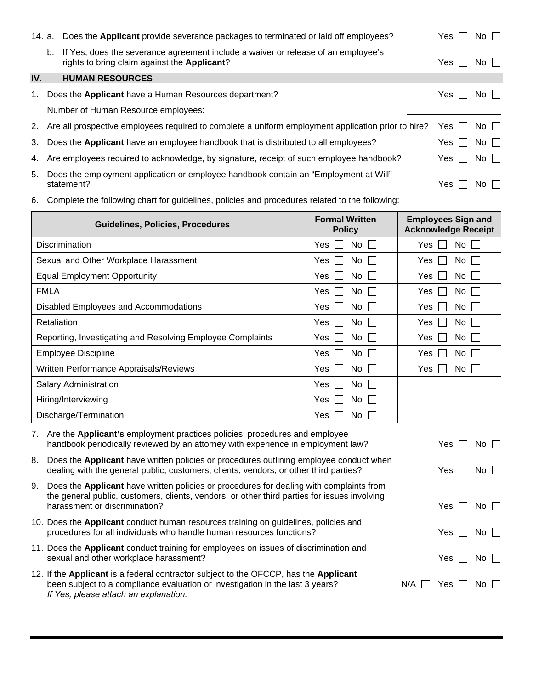|     |    | 14. a. Does the Applicant provide severance packages to terminated or laid off employees?                                         | Yes I                 | No $\Box$    |
|-----|----|-----------------------------------------------------------------------------------------------------------------------------------|-----------------------|--------------|
|     | b. | If Yes, does the severance agreement include a waiver or release of an employee's<br>rights to bring claim against the Applicant? | Yes I I               | $No$ $\vert$ |
| IV. |    | <b>HUMAN RESOURCES</b>                                                                                                            |                       |              |
| 1.  |    | Does the Applicant have a Human Resources department?                                                                             | Yes I I               | No $\Box$    |
|     |    | Number of Human Resource employees:                                                                                               |                       |              |
|     |    | 2. Are all prospective employees required to complete a uniform employment application prior to hire?                             | Yes II                | No $\Box$    |
|     |    | 3. Does the Applicant have an employee handbook that is distributed to all employees?                                             | $Yes$ $\vert$ $\vert$ | No $\Box$    |
|     |    | 4. Are employees required to acknowledge, by signature, receipt of such employee handbook?                                        | Yes II                | No $\Box$    |
| 5.  |    | Does the employment application or employee handbook contain an "Employment at Will"<br>statement?                                | Yes.                  | $No$ $\Box$  |

6. Complete the following chart for guidelines, policies and procedures related to the following:

| <b>Guidelines, Policies, Procedures</b>                                                                                                                                                                                        | <b>Formal Written</b><br><b>Policy</b>                                                                                                                         | <b>Employees Sign and</b><br><b>Acknowledge Receipt</b> |
|--------------------------------------------------------------------------------------------------------------------------------------------------------------------------------------------------------------------------------|----------------------------------------------------------------------------------------------------------------------------------------------------------------|---------------------------------------------------------|
| Discrimination                                                                                                                                                                                                                 | <b>No</b><br>Yes<br>$\mathbf{I}$                                                                                                                               | No<br>Yes                                               |
| Sexual and Other Workplace Harassment                                                                                                                                                                                          | No<br>Yes<br>$\mathbf{I}$                                                                                                                                      | No<br>Yes                                               |
| <b>Equal Employment Opportunity</b>                                                                                                                                                                                            | No<br>Yes                                                                                                                                                      | Yes<br>No                                               |
| <b>FMLA</b>                                                                                                                                                                                                                    | No<br>Yes                                                                                                                                                      | Yes<br>No                                               |
| Disabled Employees and Accommodations                                                                                                                                                                                          | No<br>Yes                                                                                                                                                      | No<br>Yes                                               |
| Retaliation                                                                                                                                                                                                                    | No<br>Yes                                                                                                                                                      | Yes<br>No                                               |
| Reporting, Investigating and Resolving Employee Complaints                                                                                                                                                                     | <b>No</b><br>Yes                                                                                                                                               | <b>No</b><br>Yes                                        |
| <b>Employee Discipline</b>                                                                                                                                                                                                     | No<br>Yes                                                                                                                                                      | No<br>Yes                                               |
| Written Performance Appraisals/Reviews                                                                                                                                                                                         | No<br>Yes                                                                                                                                                      | Yes<br>No                                               |
| <b>Salary Administration</b>                                                                                                                                                                                                   | No<br>Yes<br>$\sim$                                                                                                                                            |                                                         |
| Hiring/Interviewing                                                                                                                                                                                                            | No<br>Yes                                                                                                                                                      |                                                         |
| Discharge/Termination                                                                                                                                                                                                          | No<br>Yes<br>$\mathbf{L}$                                                                                                                                      |                                                         |
| 7.                                                                                                                                                                                                                             | Are the Applicant's employment practices policies, procedures and employee<br>handbook periodically reviewed by an attorney with experience in employment law? |                                                         |
| Does the Applicant have written policies or procedures outlining employee conduct when<br>8.<br>dealing with the general public, customers, clients, vendors, or other third parties?                                          |                                                                                                                                                                | Yes<br>No <sub>1</sub>                                  |
| Does the Applicant have written policies or procedures for dealing with complaints from<br>9.<br>the general public, customers, clients, vendors, or other third parties for issues involving<br>harassment or discrimination? | Yes<br>No I                                                                                                                                                    |                                                         |
| 10. Does the Applicant conduct human resources training on guidelines, policies and<br>procedures for all individuals who handle human resources functions?                                                                    | Yes<br>$No \square$                                                                                                                                            |                                                         |
| 11. Does the Applicant conduct training for employees on issues of discrimination and<br>sexual and other workplace harassment?                                                                                                |                                                                                                                                                                | Yes<br>No                                               |
| 12. If the Applicant is a federal contractor subject to the OFCCP, has the Applicant<br>been subject to a compliance evaluation or investigation in the last 3 years?<br>If Yes, please attach an explanation.                 |                                                                                                                                                                | N/A<br>Yes<br>No.                                       |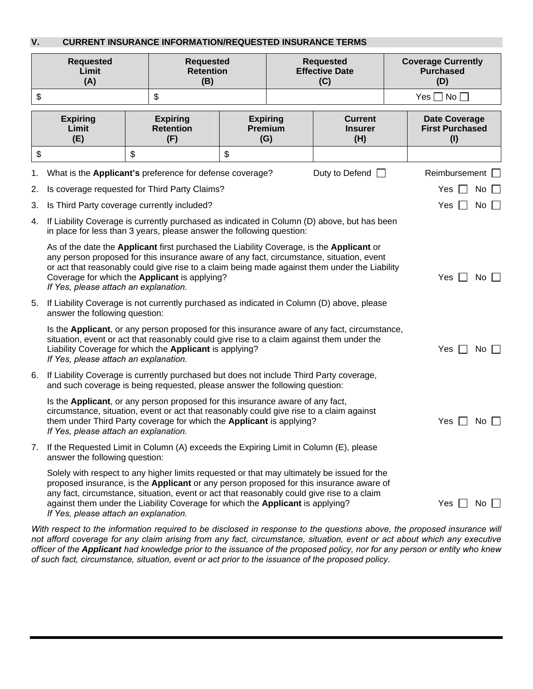## **V. CURRENT INSURANCE INFORMATION/REQUESTED INSURANCE TERMS**

| <b>Requested</b><br>Limit<br>(A) |                                                                                                                                                                                                                                                                                                                                                                                                                 | <b>Requested</b><br><b>Retention</b><br>(B) |                                            | <b>Requested</b><br><b>Effective Date</b><br>(C) |                                          | <b>Coverage Currently</b><br><b>Purchased</b><br>(D) |                                                       |                      |             |
|----------------------------------|-----------------------------------------------------------------------------------------------------------------------------------------------------------------------------------------------------------------------------------------------------------------------------------------------------------------------------------------------------------------------------------------------------------------|---------------------------------------------|--------------------------------------------|--------------------------------------------------|------------------------------------------|------------------------------------------------------|-------------------------------------------------------|----------------------|-------------|
| \$                               |                                                                                                                                                                                                                                                                                                                                                                                                                 |                                             | \$                                         |                                                  |                                          |                                                      |                                                       | Yes $\Box$ No $\Box$ |             |
|                                  | <b>Expiring</b><br>Limit<br>(E)                                                                                                                                                                                                                                                                                                                                                                                 |                                             | <b>Expiring</b><br><b>Retention</b><br>(F) |                                                  | <b>Expiring</b><br><b>Premium</b><br>(G) | <b>Current</b><br><b>Insurer</b><br>(H)              | <b>Date Coverage</b><br><b>First Purchased</b><br>(1) |                      |             |
| \$                               |                                                                                                                                                                                                                                                                                                                                                                                                                 | \$                                          |                                            | \$                                               |                                          |                                                      |                                                       |                      |             |
| 1.                               | What is the Applicant's preference for defense coverage?                                                                                                                                                                                                                                                                                                                                                        |                                             |                                            |                                                  |                                          | Duty to Defend $\Box$                                |                                                       | Reimbursement        |             |
| 2.                               | Is coverage requested for Third Party Claims?                                                                                                                                                                                                                                                                                                                                                                   |                                             |                                            |                                                  |                                          |                                                      |                                                       | Yes                  | No          |
| 3.                               | Is Third Party coverage currently included?                                                                                                                                                                                                                                                                                                                                                                     |                                             |                                            |                                                  |                                          |                                                      |                                                       | Yes                  | No          |
| 4.                               | If Liability Coverage is currently purchased as indicated in Column (D) above, but has been<br>in place for less than 3 years, please answer the following question:                                                                                                                                                                                                                                            |                                             |                                            |                                                  |                                          |                                                      |                                                       |                      |             |
|                                  | As of the date the Applicant first purchased the Liability Coverage, is the Applicant or<br>any person proposed for this insurance aware of any fact, circumstance, situation, event<br>or act that reasonably could give rise to a claim being made against them under the Liability<br>Coverage for which the Applicant is applying?<br>Yes<br>If Yes, please attach an explanation.                          |                                             |                                            |                                                  |                                          |                                                      | $No$ $\Box$                                           |                      |             |
| 5.                               | If Liability Coverage is not currently purchased as indicated in Column (D) above, please<br>answer the following question:                                                                                                                                                                                                                                                                                     |                                             |                                            |                                                  |                                          |                                                      |                                                       |                      |             |
|                                  | Is the Applicant, or any person proposed for this insurance aware of any fact, circumstance,<br>situation, event or act that reasonably could give rise to a claim against them under the<br>Liability Coverage for which the Applicant is applying?<br>If Yes, please attach an explanation.                                                                                                                   |                                             |                                            |                                                  |                                          |                                                      |                                                       | Yes                  | No $\Box$   |
| 6.                               | If Liability Coverage is currently purchased but does not include Third Party coverage,<br>and such coverage is being requested, please answer the following question:                                                                                                                                                                                                                                          |                                             |                                            |                                                  |                                          |                                                      |                                                       |                      |             |
|                                  | Is the Applicant, or any person proposed for this insurance aware of any fact,<br>circumstance, situation, event or act that reasonably could give rise to a claim against<br>them under Third Party coverage for which the Applicant is applying?<br>If Yes, please attach an explanation.                                                                                                                     |                                             |                                            |                                                  |                                          |                                                      |                                                       | Yes I                | $No$ $\Box$ |
| 7.                               | If the Requested Limit in Column (A) exceeds the Expiring Limit in Column (E), please<br>answer the following question:                                                                                                                                                                                                                                                                                         |                                             |                                            |                                                  |                                          |                                                      |                                                       |                      |             |
|                                  | Solely with respect to any higher limits requested or that may ultimately be issued for the<br>proposed insurance, is the Applicant or any person proposed for this insurance aware of<br>any fact, circumstance, situation, event or act that reasonably could give rise to a claim<br>against them under the Liability Coverage for which the Applicant is applying?<br>If Yes, please attach an explanation. |                                             |                                            |                                                  |                                          |                                                      |                                                       | Yes                  | No          |

*With respect to the information required to be disclosed in response to the questions above, the proposed insurance will not afford coverage for any claim arising from any fact, circumstance, situation, event or act about which any executive officer of the Applicant had knowledge prior to the issuance of the proposed policy, nor for any person or entity who knew of such fact, circumstance, situation, event or act prior to the issuance of the proposed policy*.